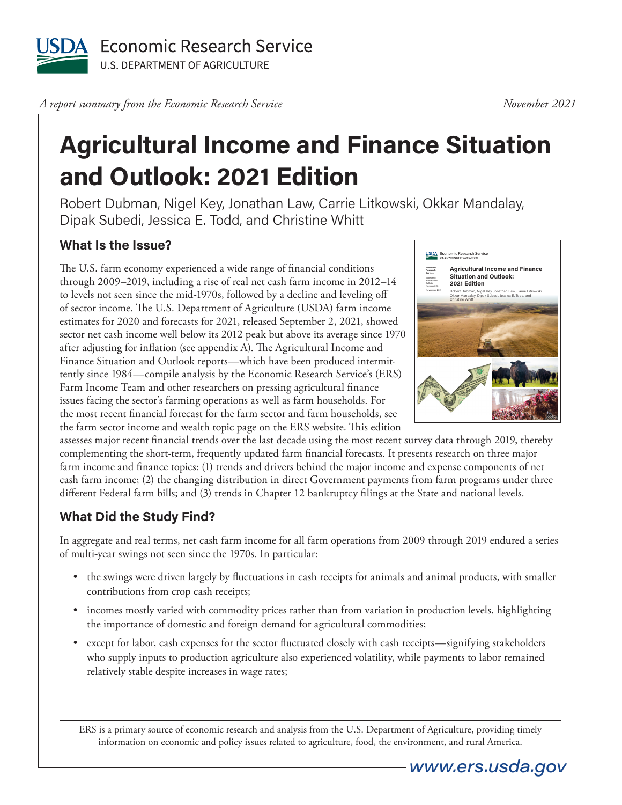

*A report summary from the Economic Research Service* 

## **Agricultural Income and Finance Situation and Outlook: 2021 Edition**

Robert Dubman, Nigel Key, Jonathan Law, Carrie Litkowski, Okkar Mandalay, Dipak Subedi, Jessica E. Todd, and Christine Whitt

## **What Is the Issue?**

The U.S. farm economy experienced a wide range of financial conditions through 2009–2019, including a rise of real net cash farm income in 2012–14 to levels not seen since the mid-1970s, followed by a decline and leveling off of sector income. The U.S. Department of Agriculture (USDA) farm income estimates for 2020 and forecasts for 2021, released September 2, 2021, showed sector net cash income well below its 2012 peak but above its average since 1970 after adjusting for inflation (see appendix A). The Agricultural Income and Finance Situation and Outlook reports—which have been produced intermittently since 1984—compile analysis by the Economic Research Service's (ERS) Farm Income Team and other researchers on pressing agricultural finance issues facing the sector's farming operations as well as farm households. For the most recent financial forecast for the farm sector and farm households, see the farm sector income and wealth topic page on the ERS website. This edition



assesses major recent financial trends over the last decade using the most recent survey data through 2019, thereby complementing the short-term, frequently updated farm financial forecasts. It presents research on three major farm income and finance topics: (1) trends and drivers behind the major income and expense components of net cash farm income; (2) the changing distribution in direct Government payments from farm programs under three different Federal farm bills; and (3) trends in Chapter 12 bankruptcy filings at the State and national levels.

## **What Did the Study Find?**

In aggregate and real terms, net cash farm income for all farm operations from 2009 through 2019 endured a series of multi-year swings not seen since the 1970s. In particular:

- the swings were driven largely by fluctuations in cash receipts for animals and animal products, with smaller contributions from crop cash receipts;
- incomes mostly varied with commodity prices rather than from variation in production levels, highlighting the importance of domestic and foreign demand for agricultural commodities;
- except for labor, cash expenses for the sector fluctuated closely with cash receipts—signifying stakeholders who supply inputs to production agriculture also experienced volatility, while payments to labor remained relatively stable despite increases in wage rates;

ERS is a primary source of economic research and analysis from the U.S. Department of Agriculture, providing timely information on economic and policy issues related to agriculture, food, the environment, and rural America.